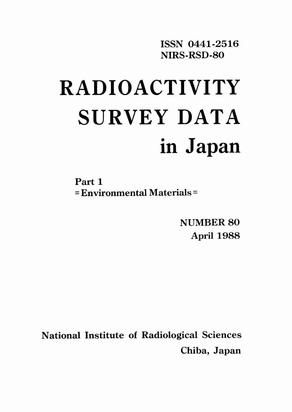ISSN 0441-2516 NIRS-RSD-80

# **RADIOACTIVITY** SURVEY DATA in Japan

Part 1 = Environmental Materials =

> NUMBER 80 April 1988

**National Institute of Radiological Sciences** Chiba, Japan

 $\sim 10$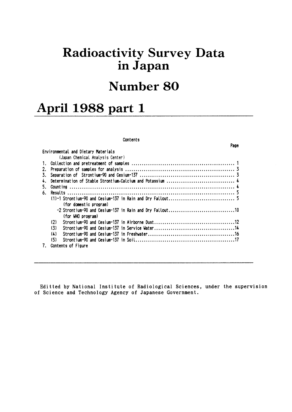## **Radioactivity Survey Data** in Japan

# **Number 80**

Page

# April 1988 part 1

#### Contents

|    | Environmental and Dietary Materials                        |
|----|------------------------------------------------------------|
|    | (Japan Chemical Analysis Center)                           |
|    |                                                            |
| 2. |                                                            |
| 3. |                                                            |
|    |                                                            |
|    |                                                            |
| 6. |                                                            |
|    |                                                            |
|    | (for domestic program)                                     |
|    | $-2$ Strontium-90 and Cesium-137 in Rain and Dry Fallout10 |
|    | (for WHO program)                                          |
|    | (2)                                                        |
|    | (3)                                                        |
|    | (4)                                                        |
|    | (5)                                                        |
| 7. | Contents of Figure                                         |

Editted by National Institute of Radiological Sciences, under the supervision of Science and Technology Agency of Japanese Government.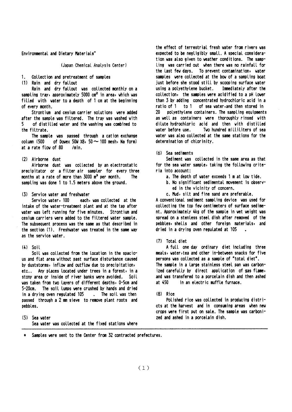Environmental and Dietary Materials"

(Japan Chemical Analysis Center)

1. Collection and pretreatment of samples

(1) Rain and dry fallout

Rain and dry fallout was collected monthly on a sampling tray, approximately 5000 cm<sup>2</sup> in area, which was filled with water to a depth of 1 cm at the beginning of every month.

Strontium and cesium carrier solutions were added after the sample was filtered. The tray was washed with 5 of distilled water and the washing was combined to the filtrate.

The sample was passed through a cation exchange column (500 of Dowex 50W  $\times$ 8, 50  $\sim$  100 mesh, Na form) at a rate flow of 80 /min.

## (2) Airborne dust

Airborne dust was collected by an electrostatic precipitator or a filter air sampler for every three months at a rate of more than 3000 m<sup>3</sup> per month. The sampling was done 1 to 1.5 meters above the ground.

#### (3) Service water and freshwater

Service water, 100 each, was collected at the intake of the water-treatment plant and at the tap after water was left running for five minutes. Strontium and cesium carriers were added to the filtered water sample. The subsequent process was the same as that described in the section (1). Freshwater was treated in the same way as the service water.

#### $(4)$  Soil

Soil was collected from the location in the spacious and flat area without past surface disturbance caused by duststorms, inflow and outflow due to precipitation, Any places located under trees in a forest, in a  $etc. .$ stony area or inside of river banks were avoided. Soil was taken from two lavers of different depths, 0-5cm and The soil lumps were crushed by hands and dried 5-20cm . The soil was then in a drying oven regulated 105 passed through a 2 mm sieve to remove plant roots and pebbles.

 $(5)$  Sea vater Sea water was collected at the fixed stations where the effect of terrestrial fresh water from rivers was expected to be negligibly small. A special consideration was also given to weather conditions. The sampling was carried out when there was no rainfall for the last few days. To prevent contamination, water samples were collected at the bow of a sampling boat just before she stood still by scooping surface water using a polyethylene bucket. Immediately after the collection, the samples were acidified to a pH lower than 3 by adding concentrated hydrochloric acid in a ratio of 1 to 1 of sea water, and then stored in 20 polyethylene containers. The sampling equipments as well as containers were thoroughly rinsed with dilute hydrochloric acid and then with distilled water before use. Two hundred milliliters of sea water was also collected at the same stations for the determination of chlorinity.

#### $(6)$  Sea sediments

Sediment was collected in the same area as that for the sea water sample, taking the following criteria into account:

- a. The depth of water exceeds 1 m at low tide.
- b. No significant sedimental movement is observed in the vicinity of concern.
- c. Mud, silt and fine sand are preferable.

A conventional sediment sampling device was used for collecting the top few centimeters of surface sediment. Approximately 4kg of the sample in wet weight was spread on a stenless steel dish after removed of the pebbles, shells and other foreign materials, and dried in a drying oven regulated at 105

#### (7) Total diet

A full one day ordinary diet including three meals, water, tea and other in-between snacks for five persons was collected as a sample of "total diet". The sample in a large stainless steel pan was carbonized carefully by direct application of gas flame, and was transfered to a porcelain dish and then ashed in an electric muffle furnace. at 450

#### $(8)$  Rice

Polished rice was collected in producing districts at the harvest and in consuming areas when new crops were first put on sale. The sample was carbonized and ashed in a porcelain dish.

Samples were sent to the Center from 32 contracted prefectures.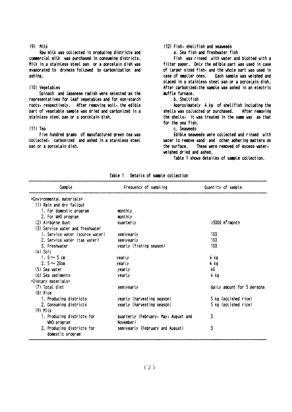#### $(9)$  Milk

Raw milk was collected in producing districts and commercial milk was purchased in consuming districts. Milk in a stainless steel pan or a porcelain dish was evaporated to dryness followed by carbonization and ashing.

#### (10) Vegetables

Spinach and Japanese radish were selected as the representatives for leaf vegetables and for non-starch roots, respectively. After removing soil, the edible part of vegetable sample was dried and carbonized in a stainless steel pan or a porcelain dish.

#### $(11)$  Tea

Five hundred grams of manufactured green tea was collected, carbonized and ashed in a stainless steel pan or a porcelain dish.

## (12) Fish, shellfish and seaveeds

a. Sea fish and freshwater fish

Fish was rinsed with water and blotted with a filter paper. Only the edible part was used in case of larger sized fish, and the whole part was used in case of smaller ones. Each sample was weighed and placed in a stainless steel pan or a porcelain dish. After carbonized, the sample was ashed in an electric muffle furnace.

#### b. Shellfish

Approximately 4 kg of shellfish including the shells was collected or purchased. After removing the shells, it was treated in the same way as that for the sea fish.

### c. Seaveeds

Edible seaveeds were collected and rinsed with water to remove sand and other adhering matters on the surface. These were removed of excess water, weighed dried and ashed.

Table 1 shows detailes of sample collection.

| Sample                                         | Frequency of sampling                | Quantity of sample            |
|------------------------------------------------|--------------------------------------|-------------------------------|
| =Environmental_materials=                      |                                      |                               |
| (1) Rain and dry fallout                       |                                      |                               |
| 1. For domestic program                        | monthly                              |                               |
| 2. For WHO program                             | monthly                              |                               |
| (2) Airborne dust                              | quarterly                            | $>3000$ m <sup>3</sup> /month |
| (3) Service water and freshwater               |                                      |                               |
| 1. Service water (source water)                | semiyearly                           | 100                           |
| 2. Service water (tap water)                   | semiyearly                           | 100                           |
| 3. Freshvater                                  | yearly (fishing season)              | 100                           |
| $(4)$ Soil                                     |                                      |                               |
| 1. $0 \sim 5$ cm                               | yearly                               | 4 kg                          |
| 2. $5 - 20$ cm                                 | yearly                               | 4 kg                          |
| $(5)$ Sea vater                                | yearly                               | 40                            |
| (6) Sea sediments                              | yearly                               | 4 kg                          |
| $=$ Dietary materials $=$                      |                                      |                               |
| (7) Total diet                                 | semiyearly                           | daily amount for 5 persons    |
| $(8)$ Rice                                     |                                      |                               |
| 1. Producing districts                         | yearly (harvesting season)           | 5 kg (polished rice)          |
| 2. Consuming districts                         | yearly (harvesting season)           | 5 kg (polished rice)          |
| $(9)$ Milk                                     |                                      |                               |
| 1. Producing districts for                     | quarterly (February, May, August and | 3                             |
| WHO program                                    | November)                            |                               |
| 2. Producing districts for<br>domestic program | semivearly (February and August)     | 3                             |

Table 1 Details of sample collection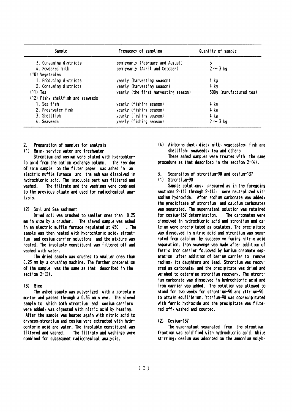| Sample                            | Frequency of sampling                | Quantity of sample      |  |
|-----------------------------------|--------------------------------------|-------------------------|--|
| 3. Consuming districts            | semiyearly (February and August)     |                         |  |
| 4. Powdered milk                  | semiyearly (April and October)       | $2 \sim 3$ kg           |  |
| (10) Vegetables                   |                                      |                         |  |
| 1. Producing districts            | yearly (harvesting season)           | 4 kg                    |  |
| 2. Consuming districts            | yearly (harvesting season)           | 4 kg                    |  |
| $(11)$ Tea                        | yearly (the first harvesting season) | 500g (manufactured tea) |  |
| (12) Fish, shellfish and seaveeds |                                      |                         |  |
| 1. Sea fish                       | yearly (fishing season)              | 4 kg                    |  |
| 2. Freshwater fish                | yearly (fishing season)              | 4 kg                    |  |
| 3. Shellfish                      | yearly (fishing season)              | 4 kg                    |  |
| 4. Seaweeds                       | yearly (fishing season)              | $2 \sim 3$ kg           |  |

 $2.$ Preparation of samples for analysis

(1) Rain, service water and freshwater

Strontium and cesium were eluted with hydrochioric acid from the cation exchange column. The residue of rain sample on the filter paper was ashed in an electric muffle furnace and the ash was dissolved in hydrochloric acid. The insoluble part was filtered and The filtrate and the washings were combined vashed. to the previous etuate and used for radiochemical ana-Lysis.

#### (2) Soil and Sea sediment

Dried soil was crushed to smaller ones than 0.25 mm in size by a crusher. The sieved sample was ashed in an electric muffle furnace regulated at 450  $.$  The sample was then heated with hydrochloric acid, strontjum and cesium carrier solutions and the mixture was heated. The insoluble constituent was filtered off and washed with water.

The dried sample was crushed to smaller ones than 0.25 mm by a crushing machine. The further preparation of the sample was the same as that described in the section  $2-(2)$ .

#### $(3)$  Rice

The ashed sample was pulverized with a porcelain mortar and passed through a 0.35 mm sieve. The sieved sample to which both strontium and cesium carriers were added, was digested with nitric acid by heating. After the sample was heated again with nitric acid to dryness, strontium and cesium were extracted with hydrochloric acid and water. The insoluble constituent was filtered and washed. The filtrate and washings were combined for subsequent radiochemical analysis.

(4) Airborne dust, diet, milk, vegetables, fish and shellfish, seaveeds, tea and others

These ashed samples were treated with the same procedure as that described in the section  $2-(4)$ .

Separation of strontium-90 and cesium-137 3.

#### (1) Strontium-90

Sample solutions, prepared as in the foregoing sections  $2-(1)$  through  $2-(4)$ , were neutralized with sodium hydroxide. After sodium carbonate was added, the precipitate of strontium and calcium carbonates was separated. The supernatant solution was retained for cesium-137 determination. The carbonates vere dissolved in hydrochloric acid and strontium and caicium were precipitated as oxalates. The precipitate was dissolved in nitric acid and strontium was separated from calcium by successive fuming nitric acid separation. Iron scavenge was made after addition of ferric iron carrier followed by barium chromate separation after addition of barium carrier to remove radium, its daughters and lead. Strontium was recovered as carbonate, and the precipitate was dried and weighed to determine strontium recovery. The strontium carbonate was dissolved in hydrochloric acid and iron carrier was added. The solution was allowed to stand for two weeks for strontium-90 and yttrium-90 to attain equilibrium. Yttrium-90 was coprecipitated with ferric hydroxide and the precipitate was filtered off, vashed and counted.

 $(2)$  Cesium-137

The supernatant separated from the strontium fraction was acidified with hydrochloric acid. While stirring, cesium was adsorbed on the ammonium molyb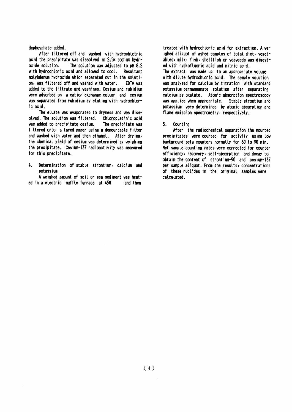dophosphate added.

After filtered off and washed with hydrochlotric acid the precipitate was dissolved in 2.5N sodium hydr-The solution was adjusted to pH 8.2 oxide solution. with hydrochloric acid and allowed to cool. Resultant molybdenum hydroxide which separated out in the solution, was filtered off and washed with water. EDTA vas added to the filtrate and washings. Cesium and rubidium were adsorbed on a cation exchange column and cesium was separated from rubidium by eluting with hydrochloric acid.

The eluate was evaporated to dryness and was dissolved. The solution was filtered. Chloroplatinic acid was added to precipitate cesium. The precipitate was filtered onto a tared paper using a demountable filter and washed with water and then ethanol. After drying, the chemical yield of cesium was determined by weighing the precipitate. Cesium-137 radioactivity was measured for this precipitate.

 $\mathbf{A}$ Determination of stable strontium, calcium and not accium

A weighed amount of soil or sea sediment was heated in a electric muffle furnace at 450 and then

treated with hydrochloric acid for extraction. A weighed aliquot of ashed samples of total diet, vegetables, milk, fish, shellfish or seaweeds was digested with hydrofluoric acid and nitric acid. The extract was made up to an appropriate volume with dilute hydrochloric acid. The sample solution was analyzed for calcium by titration with standard potassium permanganate solution after separating calcium as oxalate. Atomic absorption spectroscopy was applied when appropriate. Stable strontium and potassium were determined by atomic absorption and flame emission spectrometry, respectively.

#### $5.$ Count ing

After the radiochemical separation the mounted precipitates were counted for activity using low background beta counters normally for 60 to 90 min. Net sample counting rates were corrected for counter efficiency, recovery, self-absorption and decay to obtain the content of strontium-90 and cesium-137 per sample aliquot. From the results, concentrations of these nuclides in the original samples were calculated.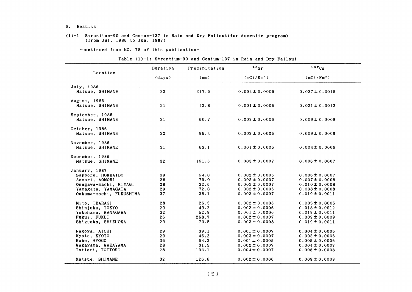#### 6. Results

#### (l)-1 Strontium-90 and Cesium-137in Rain and Dry Fal10ut(for domestic program) (from Jul.1986 to Jun.1987)

-COntinued from NO.78 0f this publication-

#### Table  $(1)-1$ : Strontium-90 and Cesium-137 in Rain and Dry Fallout

| Location                | Duration        | Precipitation | $\cdot$ $\cdot$ sr     | 137Cs                  |
|-------------------------|-----------------|---------------|------------------------|------------------------|
|                         | (days)          | (mm)          | (mCi/Km <sup>2</sup> ) | (mCi/Km <sup>2</sup> ) |
| July, 1986              |                 |               |                        |                        |
| Matsue, SHIMANE         | 32              | 317.6         | $0.002 \pm 0.0006$     | $0.037 \pm 0.0015$     |
| August, 1986            |                 |               |                        |                        |
| Matsue, SHIMANE         | 31              | 42.8          | $0.001 \pm 0.0005$     | $0.021 \pm 0.0012$     |
| September, 1986         |                 |               |                        |                        |
| Matsue, SHIMANE         | 31              | 60.7          | $0.002 \pm 0.0006$     | $0.009 \pm 0.0008$     |
| October, 1986           |                 |               |                        |                        |
| Matsue, SHIMANE         | 32 <sub>2</sub> | 96.4          | $0.002 \pm 0.0006$     | $0.009 \pm 0.0009$     |
| November, 1986          |                 |               |                        |                        |
| Matsue, SHIMANE         | 31              | 63.1          | $0.001 \pm 0.0006$     | $0.004 \pm 0.0006$     |
| December, 1986          |                 |               |                        |                        |
| Matsue, SHIMANE         | 32              | 151.5         | $0.003 \pm 0.0007$     | $0.006 \pm 0.0007$     |
| January, 1987           |                 |               |                        |                        |
| Sapporo, HOKKAIDO       | 39              | 54.0          | $0.002 \pm 0.0006$     | $0.006 \pm 0.0007$     |
| Aomori, AOMORI          | 28              | 79.0          | $0.003 \pm 0.0007$     | $0.007 \pm 0.0008$     |
| Onagawa-machi, MIYAGI   | 28              | 32.6          | $0.003 \pm 0.0007$     | $0.010 \pm 0.0008$     |
| Yamagata, YAMAGATA      | 29              | 72.0          | $0.002 \pm 0.0006$     | $0.008 \pm 0.0008$     |
| Ookuma-machi, FUKUSHIMA | 37              | 38.1          | $0.003 \pm 0.0007$     | $0.019 \pm 0.0011$     |
| Mito, IBARAGI           | 28              | 26.5          | $0.002 \pm 0.0006$     | $0.003 \pm 0.0005$     |
| Shinjuku, TOKYO         | 29              | 49.2          | $0.002 \pm 0.0006$     | $0.018 \pm 0.0012$     |
| Yokohama, KANAGAWA      | 32              | 52.9          | $0.001 \pm 0.0006$     | $0.019 \pm 0.0011$     |
| Fukui, FUKUI            | 26              | 268.7         | $0.002 \pm 0.0007$     | $0.009 \pm 0.0009$     |
| Shizuoka, SHIZUOKA      | 29              | 70.5          | $0.003 \pm 0.0008$     | $0.019 \pm 0.0011$     |
| Nagoya, AICHI           | 29              | 39.1          | $0.001 \pm 0.0007$     | $0.004 \pm 0.0006$     |
| Kyoto, KYOTO            | 29              | 46.2          | $0.003 \pm 0.0007$     | $0.003 \pm 0.0006$     |
| Kobe, HYOGO             | 36              | 64.2          | $0.001 \pm 0.0005$     | $0.005 \pm 0.0006$     |
| Wakayama, WAKAYAMA      | 28              | 31.3          | $0.002 \pm 0.0007$     | $0.004 \pm 0.0007$     |
| Tottori, TOTTORI        | 28              | 193.1         | $0.004 \pm 0.0007$     | $0.008 \pm 0.0008$     |
| Matsue, SHIMANE         | 32 <sub>2</sub> | 126.6         | $0.002 \pm 0.0006$     | $0.009 \pm 0.0009$     |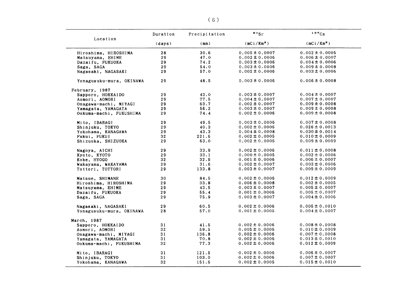|                          | Duration        | Precipitation | $\circ$ sr         | 137Cs                  |
|--------------------------|-----------------|---------------|--------------------|------------------------|
| Location                 | (days)          | (mm)          | $(mCi/Km^2)$       | (mCi/Km <sup>2</sup> ) |
| Hiroshima, HIROSHIMA     | 28              | 30.6          | $0.005 \pm 0.0007$ | $0.002 \pm 0.0005$     |
| Matsuyama, EHIME         | 29              | 47.0          | $0.002 \pm 0.0006$ | $0.006 \pm 0.0007$     |
| Dazaifu, FUKUOKA         | 29              | 74.2          | $0.003 \pm 0.0006$ | $0.004 \pm 0.0006$     |
| Saga, SAGA               | 29              | 54.0          | $0.003 \pm 0.0006$ | $0.009 \pm 0.0008$     |
| Nagasaki, NAGASAKI       | 29              | 57.0          | $0.002 \pm 0.0006$ | $0.003 \pm 0.0006$     |
| Yonagusuku-mura, OKINAWA | 29              | 48.5          | $0.003 \pm 0.0006$ | $0.006 \pm 0.0008$     |
| February, 1987           |                 |               |                    |                        |
| Sapporo, HOKKAIDO        | 29              | 43.0          | $0.003 \pm 0.0007$ | $0.004 \pm 0.0007$     |
| Aomori, AOMORI           | 29              | 77.5          | $0.004 \pm 0.0007$ | $0.007 \pm 0.0007$     |
| Onagawa-machi, MIYAGI    | 29              | 63.7          | $0.002 \pm 0.0007$ | $0.009 \pm 0.0008$     |
| Yamagata, YAMAGATA       | 29              | 56.2          | $0.003 \pm 0.0007$ | $0.009 \pm 0.0008$     |
| Ookuma-machi, FUKUSHIMA  | 29              | 74.4          | $0.002 \pm 0.0006$ | $0.009 \pm 0.0008$     |
| Mito, IBARAGI            | 29              | 49.5          | $0.003 \pm 0.0006$ | $0.007 \pm 0.0008$     |
| Shinjuku, TOKYO          | 29              | 40.3          | $0.002 \pm 0.0006$ | $0.026 \pm 0.0013$     |
| Yokohama, KANAGAWA       | 29              | 43.3          | $0.004 \pm 0.0008$ | $0.030 \pm 0.0014$     |
| Fukui, FUKUI             | 32 <sub>2</sub> | 221.6         | $0.002 \pm 0.0005$ | $0.010 \pm 0.0009$     |
| Shizuoka, SHIZUOKA       | 29              | 63.0          | $0.002 \pm 0.0005$ | $0.009 \pm 0.0009$     |
| Nagoya, AICHI            | 29              | 33.9          | $0.002 \pm 0.0006$ | $0.011 \pm 0.0008$     |
| Kyoto, KYOTO             | 29              | 33.1          | $0.000 \pm 0.0005$ | $0.002 \pm 0.0006$     |
| Kobe, HYOGO              | 32              | 32.5          | $0.001 \pm 0.0006$ | $0.006 \pm 0.0007$     |
| Wakayama, WAKAYAMA       | $29$            | 31.6          | $0.002 \pm 0.0007$ | $0.003 \pm 0.0006$     |
| Tottori, TOTTORI         | 29              | 133.8         | $0.003 \pm 0.0007$ | $0.009 \pm 0.0009$     |
| Matsue, SHIMANE          | 30              | 84.5          | $0.002 \pm 0.0006$ | $0.012 \pm 0.0009$     |
| Hiroshima, HIROSHIMA     | 29              | 33.8          | $0.006 \pm 0.0008$ | $0.002 \pm 0.0005$     |
| Matsuyama, EHIME         | 29              | 43.5          | $0.003 \pm 0.0007$ | $0.005 \pm 0.0007$     |
| Dazaifu, FUKUOKA         | 29              | 55.4          | $0.001 \pm 0.0006$ | $0.005 \pm 0.0007$     |
| Saga, SAGA               | 29              | 75.9          | $0.003 \pm 0.0007$ | $0.004 \pm 0.0006$     |
| Nagasaki, NAGASAKI       | 29              | 60.5          | $0.002 \pm 0.0006$ | $0.005 \pm 0.0010$     |
| Yonagusuku-mura, OKINAWA | 28              | 57.0          | $0.001 \pm 0.0005$ | $0.004 \pm 0.0007$     |
| March, 1987              |                 |               |                    |                        |
| Sapporo, HOKKAIDO        | 31              | 41.5          | $0.002 \pm 0.0006$ | $0.008 \pm 0.0008$     |
| Aomori, AOMORI           | 32              | 59.5          | $0.005 \pm 0.0006$ | $0.010 \pm 0.0009$     |
| Onagawa-machi, MIYAGI    | 31              | 136.8         | $0.002 \pm 0.0006$ | $0.007 \pm 0.0008$     |
| Yamagata, YAMAGATA       | 31              | 70.8          | $0.002 \pm 0.0006$ | $0.013 \pm 0.0010$     |
| Ookuma-machi, FUKUSHIMA  | 32              | 77.3          | $0.002 \pm 0.0006$ | $0.012 \pm 0.0009$     |
| Mito, IBARAGI            | 31              | 121.5         | $0.002 \pm 0.0006$ | $0.006 \pm 0.0007$     |
| Shinjuku, TOKYO          | 31              | 103.0         | $0.002 \pm 0.0006$ | $0.007 \pm 0.0007$     |
| Yokohama, KANAGAWA       | 32              | 151.6         | $0.002 \pm 0.0005$ | $0.015 \pm 0.0010$     |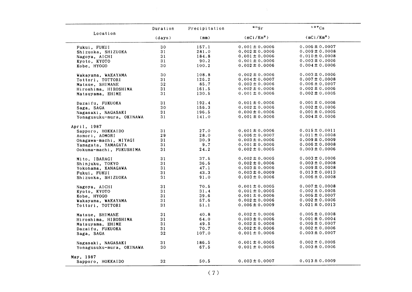|                          | Duration | Precipitation | $\circ \circ_{\rm Sr}$ | 137Cs              |
|--------------------------|----------|---------------|------------------------|--------------------|
| Location                 | (days)   | (mm)          | (mCi/Km <sup>2</sup> ) | $(mCi/Km^2)$       |
| Fukui, FUKUI             | 30       | 157.1         | $0.001 \pm 0.0006$     | $0.006 \pm 0.0007$ |
| Shizuoka, SHIZUOKA       | 31       | 281.0         | $0.002 \pm 0.0006$     | $0.009 \pm 0.0008$ |
| Nagoya, AICHI            | 31       | 184.8         | $0.001 \pm 0.0006$     | $0.010 \pm 0.0008$ |
| Kyoto, KYOTO             | 31       | 90.2          | $0.001 \pm 0.0006$     | $0.003 \pm 0.0006$ |
| Kobe, HYOGO              | 30       | 100.2         | $0.002 \pm 0.0006$     | $0.004 \pm 0.0006$ |
| Wakayama, WAKAYAMA       | 30       | 108.8         | $0.002 \pm 0.0006$     | $0.003 \pm 0.0006$ |
| Tottori, TOTTORI         | 31       | 126.2         | $0.004 \pm 0.0007$     | $0.007 \pm 0.0008$ |
| Matsue, SHIMANE          | 32       | 85.7          | $0.003 \pm 0.0006$     | $0.006 \pm 0.0007$ |
| Hiroshima, HIROSHIMA     | 31       | 161.5         | $0.002 \pm 0.0006$     | $0.002 \pm 0.0006$ |
| Matsuyama, EHIME         | 31       | 130.5         | $0.001 \pm 0.0006$     | $0.002 \pm 0.0005$ |
| Dazaifu, FUKUOKA         | 31       | 192.4         | $0.001 \pm 0.0006$     | $0.001 \pm 0.0006$ |
| Saga, SAGA               | 30       | 156.3         | $0.002 \pm 0.0006$     | $0.002 \pm 0.0006$ |
| Nagasaki, NAGASAKI       | 31       | 196.5         | $0.000 \pm 0.0006$     | $0.001 \pm 0.0005$ |
| Yonagusuku-mura, OKINAWA | 31       | 141.0         | $0.001 \pm 0.0006$     | $0.004 \pm 0.0006$ |
| April, 1987              |          |               |                        |                    |
| Sapporo, HOKKAIDO        | 31       | 27.0          | $0.001 \pm 0.0006$     | $0.015 \pm 0.0011$ |
| Aomori, AOMORI           | 29       | 28.0          | $0.006 \pm 0.0007$     | $0.011 \pm 0.0008$ |
| Onagawa-machi, MIYAGI    | 31       | 30.9          | $0.003 \pm 0.0006$     | $0.009 \pm 0.0009$ |
| Yamagata, YAMAGATA       | 31       | 9.7           | $0.001 \pm 0.0006$     | $0.006 \pm 0.0008$ |
| Ookuma-machi, FUKUSHIMA  | 31       | 24.2          | $0.002 \pm 0.0005$     | $0.003 \pm 0.0006$ |
| Mito, IBARAGI            | 31       | 37.5          | $0.002 \pm 0.0005$     | $0.003 \pm 0.0006$ |
| Shinjuku, TOKYO          | 31       | 36.6          | $0.002 \pm 0.0006$     | $0.003 \pm 0.0008$ |
| Yokohama, KANAGAWA       | 31       | 47.1          | $0.003 \pm 0.0006$     | $0.009 \pm 0.0008$ |
| Fukui, FUKUI             | 31       | 43.3          | $0.003 \pm 0.0009$     | $0.013 \pm 0.0013$ |
| Shizuoka, SHIZUOKA       | 31       | 91.0          | $0.003 \pm 0.0006$     | $0.006 \pm 0.0008$ |
| Nagoya, AICHI            | 31       | 70.5          | $0.001 \pm 0.0005$     | $0.007 \pm 0.0008$ |
| Kyoto, KYOTO             | 31       | 31.4          | $0.001 \pm 0.0005$     | $0.002 \pm 0.0005$ |
| Kobe, HYOGO              | 31       | 39.6          | $0.001 \pm 0.0006$     | $0.005 \pm 0.0007$ |
| Wakayama, WAKAYAMA       | 31       | 57.6          | $0.002 \pm 0.0006$     | $0.002 \pm 0.0006$ |
| Tottori, TOTTORI         | 31       | 51.1          | $0.006 \pm 0.0009$     | $0.021 \pm 0.0013$ |
| Matsue, SHIMANE          | 31       | 40.8          | $0.002 \pm 0.0006$     | $0.005 \pm 0.0008$ |
| Hiroshima, HIROSHIMA     | 31       | 64.0          | $0.003 \pm 0.0006$     | $0.001 \pm 0.0004$ |
| Matsuyama, EHIME         | 31       | 49.5          | $0.002 \pm 0.0006$     | $0.005 \pm 0.0007$ |
| Dazaifu, FUKUOKA         | 31       | 70.7          | $0.002 \pm 0.0006$     | $0.002 \pm 0.0006$ |
| Saga, SAGA               | 32       | 107.0         | $0.001 \pm 0.0006$     | $0.003 \pm 0.0007$ |
| Nagasaki, NAGASAKI       | 31       | 186.5         | $0.001 \pm 0.0005$     | $0.002 \pm 0.0005$ |
| Yonagusuku-mura, OKINAWA | 30       | 67.5          | $0.001 \pm 0.0006$     | $0.003 \pm 0.0006$ |
| May, 1987                |          |               |                        |                    |
| Sapporo, HOKKAIDO        | 32       | 50.5          | $0.003 \pm 0.0007$     | $0.013 \pm 0.0009$ |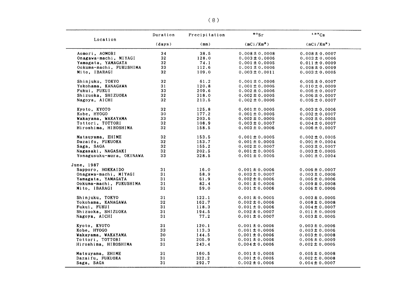| Location                 | Duration | Precipitation | $\bullet\circ_{\mathrm{Sr}}$ | 137Cs                  |
|--------------------------|----------|---------------|------------------------------|------------------------|
|                          | (days)   | (mm)          | (mCi/Km <sup>2</sup> )       | (mCi/Km <sup>2</sup> ) |
| Aomori, AOMORI           | 34       | 38.5          | $0.008 \pm 0.0008$           | $0.008 \pm 0.0007$     |
| Onagawa-machi, MIYAGI    | 32       | 128.0         | $0.003 \pm 0.0006$           | $0.003 \pm 0.0006$     |
| Yamagata, YAMAGATA       | 32       | 74.1          | $0.001 \pm 0.0005$           | $0.011 \pm 0.0009$     |
| Ookuma-machi, FUKUSHIMA  | 33       | 112.6         | $0.001 \pm 0.0006$           | $0.008 \pm 0.0009$     |
| Mito, IBARAGI            | 32       | 109.0         | $0.003 \pm 0.0011$           | $0.003 \pm 0.0005$     |
| Shinjuku, TOKYO          | 32       | 61.2          | $0.001 \pm 0.0006$           | $0.005 \pm 0.0007$     |
| Yokohama, KANAGAWA       | 31       | 120.8         | $0.001 \pm 0.0005$           | $0.010 \pm 0.0009$     |
| Fukui, FUKUI             | 33       | 209.6         | $0.002 \pm 0.0006$           | $0.005 \pm 0.0007$     |
| Shizuoka, SHIZUOKA       | 32       | 318.0         | $0.002 \pm 0.0005$           | $0.006 \pm 0.0007$     |
| Nagoya, AICHI            | 32       | 213.5         | $0.002 \pm 0.0006$           | $0.005 \pm 0.0007$     |
| Kyoto, KYOTO             | 32       | 125.8         | $0.001 \pm 0.0005$           | $0.003 \pm 0.0006$     |
| Kobe, HYOGO              | 30       | 177.2         | $0.001 \pm 0.0005$           | $0.002 \pm 0.0007$     |
| Wakayama, WAKAYAMA       | 33       | 203.6         | $0.002 \pm 0.0005$           | $0.002 \pm 0.0005$     |
| Tottori, TOTTORI         | 32       | 108.9         | $0.003 \pm 0.0007$           | $0.004 \pm 0.0007$     |
| Hiroshima, HIROSHIMA     | 32       | 158.5         | $0.003 \pm 0.0006$           | $0.006 \pm 0.0007$     |
| Matsuyama, EHIME         | 32       | 153.5         | $0.001 \pm 0.0005$           | $0.002 \pm 0.0005$     |
| Dazaifu, FUKUOKA         | 32       | 153.7         | $0.001 \pm 0.0005$           | $0.001 \pm 0.0004$     |
| Saga, SAGA               | 32       | 155.2         | $0.002 \pm 0.0007$           | $0.003 \pm 0.0007$     |
| Nagasaki, NAGASAKI       | 32       | 202.5         | $0.001 \pm 0.0005$           | $0.003 \pm 0.0005$     |
| Yonagusuku-mura, OKINAWA | 33       | 328.5         | $0.001 \pm 0.0005$           | $0.001 \pm 0.0004$     |
| June, 1987               |          |               |                              |                        |
| Sapporo, HOKKAIDO        | 31       | 16.0          | $0.001 \pm 0.0006$           | $0.006 \pm 0.0007$     |
| Onagawa-machi, MIYAGI    | 31       | 58.9          | $0.003 \pm 0.0007$           | $0.003 \pm 0.0006$     |
| Yamagata, YAMAGATA       | 31       | 61.9          | $0.002 \pm 0.0006$           | $0.005 \pm 0.0006$     |
| Ookuma-machi, FUKUSHIMA  | 31       | 82.4          | $0.001 \pm 0.0006$           | $0.009 \pm 0.0008$     |
| Mito, IBARAGI            | 31       | 59.0          | $0.001 \pm 0.0006$           | $0.006 \pm 0.0006$     |
| Shinjuku, TOKYO          | 31       | 122.1         | $0.001 \pm 0.0005$           | $0.003 \pm 0.0005$     |
| Yokohama, KANAGAWA       | 32       | 162.7         | $0.002 \pm 0.0006$           | $0.008 \pm 0.0008$     |
| Fukui, FUKUI             | 31       | 118.3         | $0.001 \pm 0.0006$           | $0.004 \pm 0.0007$     |
| Shizuoka, SHIZUOKA       | 31       | 194.5         | $0.002 \pm 0.0007$           | $0.011 \pm 0.0009$     |
| Nagoya, AICHI            | 31       | 77.2          | $0.001 \pm 0.0007$           | $0.003 \pm 0.0005$     |
| Kyoto, KYOTO             | 31       | 120.1         | $0.001 \pm 0.0006$           | $0.003 \pm 0.0006$     |
| Kobe, HYOGO              | 33       | 113.3         | $0.001 \pm 0.0006$           | $0.003 \pm 0.0006$     |
| Wakayama, WAKAYAMA       | 30       | 144.5         | $0.001 \pm 0.0006$           | $0.003 \pm 0.0008$     |
| Tottori, TOTTORI         | 31       | 205.9         | $0.001 \pm 0.0006$           | $0.006 \pm 0.0009$     |
| Hiroshima, HIROSHIMA     | 31       | 243.4         | $0.004 \pm 0.0006$           | $0.002 \pm 0.0005$     |
| Matsuyama, EHIME         | 31       | 160.5         | $0.001 \pm 0.0005$           | $0.005 \pm 0.0008$     |
| Dazaifu, FUKUOKA         | 31       | 322.2         | $0.001 \pm 0.0005$           | $0.002 \pm 0.0008$     |
| Saga, SAGA               | 31       | 292.7         | $0.002 \pm 0.0006$           | $0.004 \pm 0.0007$     |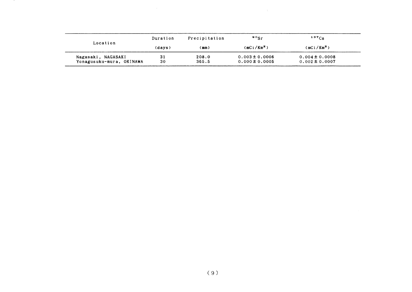|                                                | Duration | Precipitation  | $\cdot$ $\cdot$ $\cdot$                  | $137C_S$                                 |
|------------------------------------------------|----------|----------------|------------------------------------------|------------------------------------------|
| Location                                       | (days)   | (mm)           | (mCi/Km <sup>2</sup> )                   | (mCi/Km <sup>2</sup> )                   |
| Nagasaki, NAGASAKI<br>Yonagusuku-mura, OKINAWA | 31<br>30 | 208.0<br>365.5 | $0.003 \pm 0.0006$<br>$0.000 \pm 0.0005$ | $0.004 \pm 0.0008$<br>$0.002 \pm 0.0007$ |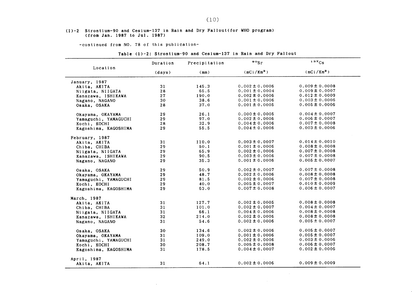#### (1)-2 Strontium-90 and Cesium-137in Rain and Dry Fal10ut(for WHO program) (from Jan.1987 to JⅦ1.1987)

 $\sim 40\%$ 

-continued from NO. 78 of this publication-

| Location             | Duration | Precipitation | $\circ \circ_{\mathsf{Sr}}$ | 137Cs                  |
|----------------------|----------|---------------|-----------------------------|------------------------|
|                      | (days)   | (mm)          | (mCi/Km <sup>2</sup> )      | (mCi/Km <sup>2</sup> ) |
| January, 1987        |          |               |                             |                        |
| Akita, AKITA         | 31       | 145.3         | $0.002 \pm 0.0006$          | $0.009 \pm 0.0008$     |
| Niigata, NIIGATA     | 28       | 65.5          | $0.001 \pm 0.0004$          | $0.009 \pm 0.0007$     |
| Kanazawa, ISHIKAWA   | 27       | 190.0         | $0.002 \pm 0.0006$          | $0.012 \pm 0.0009$     |
| Nagano, NAGANO       | 30       | 38.6          | $0.001 \pm 0.0006$          | $0.003 \pm 0.0006$     |
| Osaka, OSAKA         | 28       | 37.0          | $0.001 \pm 0.0005$          | $0.005 \pm 0.0006$     |
| Okayama, OKAYAMA     | 29       | 26.1          | $0.000 \pm 0.0005$          | $0.004 \pm 0.0007$     |
| Yamaguchi, YAMAGUCHI | 29       | 97.0          | $0.002 \pm 0.0006$          | $0.006 \pm 0.0007$     |
| Kochi, KOCHI         | 28       | 32.9          | $0.004 \pm 0.0006$          | $0.007 \pm 0.0008$     |
| Kagoshima, KAGOSHIMA | 29       | 55.5          | $0.004 \pm 0.0006$          | $0.003 \pm 0.0006$     |
| February, 1987       |          |               |                             |                        |
| Akita, AKITA         | 31       | 110.0         | $0.003 \pm 0.0007$          | $0.014 \pm 0.0010$     |
| Chiba, CHIBA         | 29       | 50.1          | $0.001 \pm 0.0006$          | $0.008 \pm 0.0008$     |
| Niigata, NIIGATA     | 29       | 65.9          | $0.002 \pm 0.0006$          | $0.007 \pm 0.0008$     |
| Kanazawa, ISHIKAWA   | 29       | 90.5          | $0.003 \pm 0.0006$          | $0.007 \pm 0.0008$     |
| Nagano, NAGANO       | 29       | 35.3          | $0.001 \pm 0.0006$          | $0.005 \pm 0.0007$     |
| Osaka, OSAKA         | 29       | 50.9          | $0.002 \pm 0.0007$          | $0.007 \pm 0.0008$     |
| Okayama, OKAYAMA     | 29       | 48.7          | $0.002 \pm 0.0006$          | $0.008 \pm 0.0008$     |
| Yamaguchi, YAMAGUCHI | 29       | 81.5          | $0.002 \pm 0.0006$          | $0.007 \pm 0.0008$     |
| Kochi, KOCHI         | 29       | 40.0          | $0.005 \pm 0.0007$          | $0.010 \pm 0.0009$     |
| Kagoshima, KAGOSHIMA | 29       | 63.0          | $0.007 \pm 0.0008$          | $0.006 \pm 0.0007$     |
| March, 1987          |          |               |                             |                        |
| Akita, AKITA         | 31       | 127.7         | $0.002 \pm 0.0005$          | $0.008 \pm 0.0008$     |
| Chiba, CHIBA         | 31       | 101.0         | $0.002 \pm 0.0007$          | $0.004 \pm 0.0007$     |
| Niigata, NIIGATA     | 31       | 66.1          | $0.004 \pm 0.0006$          | $0.008 \pm 0.0008$     |
| Kanazawa, ISHIKAWA   | 32       | 214.0         | $0.002 \pm 0.0006$          | $0.008 \pm 0.0008$     |
| Nagano, NAGANO       | 31       | 54.6          | $0.002 \pm 0.0006$          | $0.005 \pm 0.0007$     |
| Osaka, OSAKA         | 30       | 134.6         | $0.002 \pm 0.0006$          | $0.005 \pm 0.0007$     |
| Okayama, OKAYAMA     | 31       | 109.0         | $0.001 \pm 0.0006$          | $0.005 \pm 0.0007$     |
| Yamaguchi, YAMAGUCHI | 31       | 249.0         | $0.002 \pm 0.0006$          | $0.003 \pm 0.0006$     |
| Kochi, KOCHI         | 30       | 208.7         | $0.005 \pm 0.0008$          | $0.006 \pm 0.0007$     |
| Kagoshima, KAGOSHIMA | 31       | 178.5         | $0.004 \pm 0.0007$          | $0.002 \pm 0.0006$     |
| April, 1987          |          |               |                             |                        |
| Akita, AKITA         | 31       | 64.1          | $0.002 \pm 0.0006$          | $0.009 \pm 0.0009$     |

Table (1)-2: Strontium-90 and Cesium-137 in Rain and Dry Fallout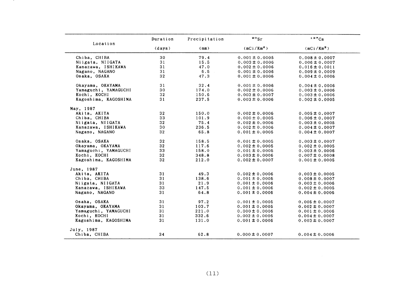|                      | Duration | Precipitation | $\bullet \circ$ Sr | 137Cs                  |
|----------------------|----------|---------------|--------------------|------------------------|
| Location             | (days)   | (mm)          | $(mCi/Km^2)$       | (mCi/Km <sup>2</sup> ) |
| Chiba, CHIBA         | 30       | 79.4          | $0.001 \pm 0.0005$ | $0.008 \pm 0.0007$     |
| Niigata, NIIGATA     | 31       | 15.5          | $0.003 \pm 0.0006$ | $0.006 \pm 0.0007$     |
| Kanazawa, ISHIKAWA   | 31       | 47.0          | $0.002 \pm 0.0006$ | $0.016 \pm 0.0011$     |
| Nagano, NAGANO       | 31       | 6.5           | $0.001 \pm 0.0006$ | $0.009 \pm 0.0009$     |
| Osaka, OSAKA         | 32       | 47.3          | $0.001 \pm 0.0006$ | $0.004 \pm 0.0006$     |
| Okayama, OKAYAMA     | 31       | 32.4          | $0.001 \pm 0.0006$ | $0.004 \pm 0.0006$     |
| Yamaguchi, YAMAGUCHI | 30       | 174.0         | $0.002 \pm 0.0006$ | $0.003 \pm 0.0006$     |
| Kochi, KOCHI         | 32       | 150.6         | $0.003 \pm 0.0007$ | $0.003 \pm 0.0006$     |
| Kagoshima, KAGOSHIMA | 31       | 237.5         | $0.003 \pm 0.0006$ | $0.002 \pm 0.0005$     |
| May, 1987            |          |               |                    |                        |
| Akita, AKITA         | 32       | 150.0         | $0.002 \pm 0.0006$ | $0.005 \pm 0.0007$     |
| Chiba, CHIBA         | 33       | 101.9         | $0.000 \pm 0.0005$ | $0.006 \pm 0.0007$     |
| Niigata, NIIGATA     | 32       | 75.4          | $0.002 \pm 0.0006$ | $0.003 \pm 0.0005$     |
| Kanazawa, ISHIKAWA   | 30       | 236.5         | $0.002 \pm 0.0006$ | $0.004 \pm 0.0007$     |
| Nagano, NAGANO       | 32       | 65.8          | $0.001 \pm 0.0005$ | $0.004 \pm 0.0007$     |
| Osaka, OSAKA         | 32       | 158.5         | $0.001 \pm 0.0005$ | $0.003 \pm 0.0007$     |
| Okayama, OKAYAMA     | 32       | 117.6         | $0.002 \pm 0.0005$ | $0.002 \pm 0.0005$     |
| Yamaguchi, YAMAGUCHI | 33       | 158.0         | $0.001 \pm 0.0005$ | $0.003 \pm 0.0006$     |
| Kochi, KOCHI         | 32       | 348.8         | $0.003 \pm 0.0006$ | $0.007 \pm 0.0008$     |
| Kagoshima, KAGOSHIMA | 32       | 212.0         | $0.002 \pm 0.0007$ | $0.001 \pm 0.0005$     |
| June, 1987           |          |               |                    |                        |
| Akita, AKITA         | 31       | 49.3          | $0.002 \pm 0.0006$ | $0.003 \pm 0.0005$     |
| Chiba, CHIBA         | 31       | 138.6         | $0.001 \pm 0.0005$ | $0.008 \pm 0.0007$     |
| Niigata, NIIGATA     | 31       | 21.9          | $0.001 \pm 0.0006$ | $0.003 \pm 0.0006$     |
| Kanazawa, ISHIKAWA   | 33       | 147.5         | $0.001 \pm 0.0006$ | $0.002 \pm 0.0005$     |
| Nagano, NAGANO       | 31       | 64.8          | $0.001 \pm 0.0006$ | $0.004 \pm 0.0006$     |
| Osaka, OSAKA         | 31       | 97.2          | $0.001 \pm 0.0005$ | $0.005 \pm 0.0007$     |
| Okayama, OKAYAMA     | 31       | 103.7         | $0.001 \pm 0.0005$ | $0.002 \pm 0.0007$     |
| Yamaguchi, YAMAGUCHI | 31       | 221.0         | $0.000 \pm 0.0006$ | $0.001 \pm 0.0006$     |
| Kochi, KOCHI         | 31       | 332.6         | $0.002 \pm 0.0006$ | $0.004 \pm 0.0007$     |
| Kagoshima, KAGOSHIMA | 31       | 131.0         | $0.001 \pm 0.0006$ | $0.003 \pm 0.0007$     |
| July, 1987           |          |               |                    |                        |
| Chiba, CHIBA         | 34       | 62.8          | $0.000 \pm 0.0007$ | $0.004 \pm 0.0006$     |

 $\sim$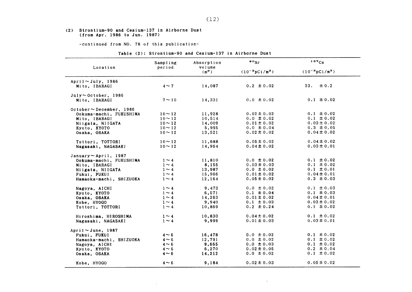#### (2) Strontium-90 and Cesium-137 in Airborne Dust (from Apr.1986 toJun.1987)

-COntinued from NO.78 0f this publication-

(14)

| Table (2): Strontium-90 and Cesium-137 in Airborne Dust |
|---------------------------------------------------------|
|---------------------------------------------------------|

| Location                      | Sampling<br>period | Absorption<br>volume | $\cdot \cdot$              | 137Cs                      |
|-------------------------------|--------------------|----------------------|----------------------------|----------------------------|
|                               |                    | $(m^3)$              | $(10^{-3} \text{pCi/m}^3)$ | $(10^{-3} \text{pCi/m}^3)$ |
| April $\sim$ July, 1986       |                    |                      |                            |                            |
| Mito, IBARAGI                 | $4 \sim 7$         | 14,087               | $0.2 \pm 0.02$             | 33.<br>± 0.2               |
| $July \sim October, 1986$     |                    |                      |                            |                            |
| Mito, IBARAGI                 | $7 \sim 10$        | 14,331               | $0.0 \pm 0.02$             | $0.1 \pm 0.02$             |
| October $\sim$ December, 1986 |                    |                      |                            |                            |
| Ookuma-machi, FUKUSHIMA       | $10 \sim 12$       | 11,928               | $0.02 \pm 0.02$            | $0.1 \pm 0.02$             |
| Mito. IBARAGI                 | $10 - 12$          | 10,514               | $0.0 \pm 0.02$             | $0.1 \pm 0.02$             |
| Niigata, NIIGATA              | $10 \sim 12$       | 14,009               | $0.01 \pm 0.02$            | $0.03 \pm 0.02$            |
| Kyoto, KYOTO                  | $10 \sim 12$       | 5,995                | $0.0 \pm 0.04$             | $0.3 \pm 0.05$             |
| Osaka, OSAKA                  | $10 - 12$          | 13,521               | $0.02 \pm 0.02$            | $0.04 \pm 0.02$            |
| Tottori, TOTTORI              | $10 \sim 12$       | 11,688               | $0.05 \pm 0.02$            | $0.04 \pm 0.02$            |
| Nagasaki, NAGASAKI            | $10 - 12$          | 14,964               | $0.04 \pm 0.02$            | $0.03 \pm 0.01$            |
| January $\sim$ April, 1987    |                    |                      |                            |                            |
| Ookuma-machi, FUKUSHIMA       | $1 \sim 4$         | 11,810               | $0.0 \pm 0.02$             | $0.1 \pm 0.02$             |
| Mito. IBARAGI                 | $1 \sim 4$         | 8,155                | $0.03 \pm 0.03$            | $0.1 \pm 0.02$             |
| Niigata, NIIGATA              | $1 \sim 4$         | 13,987               | $0.0 \pm 0.02$             | $0.1 \pm 0.01$             |
| Fukui, FUKUI                  | $1 \sim 4$         | 15,966               | $0.01 \pm 0.02$            | $0.04 \pm 0.01$            |
| Hamaoka-machi, SHIZUOKA       | $1 \sim 4$         | 12,164               | $0.05 \pm 0.02$            | $0.3 \pm 0.03$             |
| Nagoya, AICHI                 | $1 \sim 4$         | 9,473                | $0.0 \pm 0.02$             | $0.1 \pm 0.03$             |
| Kyoto, KYOTO                  | $1 \sim 4$         | 6,571                | $0.1 \pm 0.04$             | $0.1 \pm 0.03$             |
| Osaka, OSAKA                  | $1 \sim 4$         | 14,263               | $0.01 \pm 0.02$            | $0.04 \pm 0.01$            |
| Kobe, HYOGO                   | $1 \sim 4$         | 9,940                | $0.1 \pm 0.03$             | $0.03 \pm 0.02$            |
| Tottori, TOTTORI              | $1 \sim 4$         | 10,869               | $0.2 \pm 0.24$             | $0.1 \pm 0.02$             |
| Hiroshima, HIROSHIMA          | $1 \sim 4$         | 10,830               | $0.04 \pm 0.02$            | $0.1 \pm 0.02$             |
| Nagasaki, NAGASAKI            | $1 \sim 4$         | 9,999                | $0.01 \pm 0.03$            | $0.03 \pm 0.01$            |
| April $\sim$ June, 1987       |                    |                      |                            |                            |
| Fukui, FUKUI                  | $4 \sim 6$         | 16,478               | $0.0 \pm 0.02$             | $0.1 \pm 0.02$             |
| Hamaoka-machi, SHIZUOKA       | $4 \sim 6$         | 12,791               | $0.0 \pm 0.02$             | $0.1 \pm 0.02$             |
| Nagoya, AICHI                 | $4 \sim 6$         | 9,665                | $0.0 \pm 0.03$             | $0.1 \pm 0.02$             |
| Kyoto, KYOTO                  | $4 \sim 6$         | 6,270                | $0.02 \pm 0.05$            | $0.2 \pm 0.04$             |
| Osaka, OSAKA                  | $4 \sim 6$         | 14,212               | $0.0 \pm 0.02$             | $0.1 \pm 0.02$             |
| Kobe, HYOGO                   | $4 \sim 6$         | 9,184                | $0.02 \pm 0.03$            | $0.05 \pm 0.02$            |

 $\mathcal{M}^{\mathrm{max}}_{\mathrm{max}}$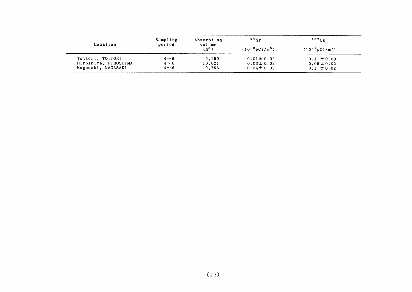| Location             | Sampling<br>period | Absorption<br>volume | $\bullet \circ_{\text{S}r}$ | $137C_S$                   |  |
|----------------------|--------------------|----------------------|-----------------------------|----------------------------|--|
|                      |                    | (m <sup>3</sup> )    | $(10^{-3} \text{pCi/m}^3)$  | $(10^{-3} \text{pCi/m}^3)$ |  |
| Tottori, TOTTORI     | $4 \sim 6$         | 9.159                | $0.01 \pm 0.02$             | $0.1 \pm 0.03$             |  |
| Hiroshima, HIROSHIMA | $4 \sim 6$         | 10,021               | $0.03 \pm 0.02$             | $0.05 \pm 0.02$            |  |
| Nagasaki, NAGASAKI   | $4 \sim 6$         | 9.765                | $0.04 \pm 0.03$             | $0.1 \pm 0.02$             |  |

 $\mathcal{L}^{\text{max}}_{\text{max}}$  ,  $\mathcal{L}^{\text{max}}_{\text{max}}$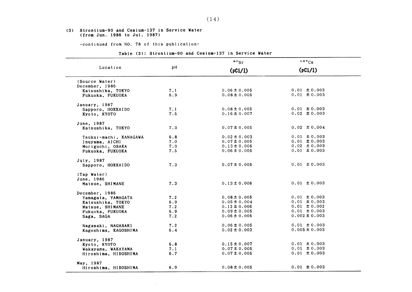#### (3) Strontium-90 and Cesium-137in Service Vater (from Jun. 1986 to Jul. 1987)

-COntinued from NO.78 0f this publication-

 $\sim 10^5$ 

#### Table (3): Strontium-90 and Cesium-137 in Service Water

|                        |     | $\frac{90}{ST}$  | 137Cs<br>(pCi/l)  |  |
|------------------------|-----|------------------|-------------------|--|
| Location               | pH  | (pCi/l)          |                   |  |
| (Source Water)         |     |                  |                   |  |
| December, 1986         |     |                  |                   |  |
| Katsushika, TOKYO      | 7.1 | $0.06 \pm 0.005$ | $0.01 \pm 0.003$  |  |
| Fukuoka, FUKUOKA       | 6.9 | $0.08 \pm 0.005$ | $0.01 \pm 0.003$  |  |
| January, 1987          |     |                  |                   |  |
| Sapporo, HOKKAIDO      | 7.1 | $0.08 \pm 0.005$ | $0.01 \pm 0.003$  |  |
| Kyoto, KYOTO           | 7.5 | $0.16 \pm 0.007$ | $0.02 \pm 0.003$  |  |
| June, 1987             |     |                  |                   |  |
| Katsushika, TOKYO      | 7.3 | $0.07 \pm 0.005$ | $0.02 \pm 0.004$  |  |
| Tsukui-machi, KANAGAWA | 6.8 | $0.02 \pm 0.003$ | $0.01 \pm 0.003$  |  |
| Inuyama, AICHI         | 7.0 | $0.07 \pm 0.005$ | $0.01 \pm 0.003$  |  |
| Moriguchi, OSAKA       | 7.0 | $0.13 \pm 0.006$ | $0.02 \pm 0.003$  |  |
| Fukuoka, FUKUOKA       | 7.5 | $0.06 \pm 0.005$ | $0.01 \pm 0.003$  |  |
| July, 1987             |     |                  |                   |  |
| Sapporo, HOKKAIDO      | 7.3 | $0.07 \pm 0.005$ | $0.01 \pm 0.003$  |  |
| (Tap Water)            |     |                  |                   |  |
| June, 1986             |     |                  |                   |  |
| Matsue, SHIMANE        | 7.3 | $0.13 \pm 0.006$ | $0.01 \pm 0.003$  |  |
| December, 1986         |     |                  |                   |  |
| Yamagata, YAMAGATA     | 7.2 | $0.08 \pm 0.005$ | $0.01 \pm 0.003$  |  |
| Katsushika, TOKYO      | 6.9 | $0.05 \pm 0.004$ | $0.01 \pm 0.003$  |  |
| Matsue, SHIMANE        | 7.2 | $0.12 \pm 0.006$ | $0.01 \pm 0.002$  |  |
| Fukuoka, FUKUOKA       | 6.9 | $0.09 \pm 0.005$ | $0.01 \pm 0.003$  |  |
| Saga, SAGA             | 7.2 | $0.06 \pm 0.005$ | $0.002 \pm 0.003$ |  |
| Nagasaki, NAGASAKI     | 7.2 | $0.06 \pm 0.005$ | $0.01 \pm 0.003$  |  |
| Kagoshima, KAGOSHIMA   | 6.4 | $0.02 \pm 0.003$ | $0.005 \pm 0.003$ |  |
| January, 1987          |     |                  |                   |  |
| Kyoto, KYOTO           | 6.8 | $0.15 \pm 0.007$ | $0.01 \pm 0.003$  |  |
| Wakayama, WAKAYAMA     | 7.1 | $0.07 \pm 0.005$ | $0.01 \pm 0.003$  |  |
| Hiroshima, HIROSHIMA   | 6.7 | $0.07 \pm 0.005$ | $0.01 \pm 0.003$  |  |
| May, 1987              |     |                  |                   |  |
| Hiroshima, HIROSHIMA   | 6.9 | $0.08 \pm 0.005$ | $0.01 \pm 0.003$  |  |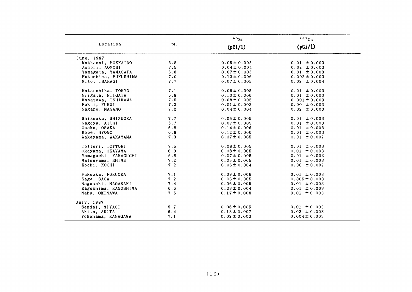|                      |     | $\frac{90}{5}$   | 137Cs             |
|----------------------|-----|------------------|-------------------|
| Location             | pH  | (pCi/l)          | (pCi/l)           |
| June, 1987           |     |                  |                   |
| Wakkanai, HOKKAIDO   | 6.8 | $0.05 \pm 0.005$ | $0.01 \pm 0.003$  |
| Aomori, AOMORI       | 7.5 | $0.04 \pm 0.004$ | $0.02 \pm 0.003$  |
| Yamagata, YAMAGATA   | 6.8 | $0.07 \pm 0.005$ | $0.01 \pm 0.003$  |
| Fukushima, FUKUSHIMA | 7.0 | $0.13 \pm 0.006$ | $0.002 \pm 0.003$ |
| Mito, IBARAGI        | 7.7 | $0.07 \pm 0.005$ | $0.02 \pm 0.004$  |
| Katsushika, TOKYO    | 7.1 | $0.08 \pm 0.005$ | $0.01 \pm 0.003$  |
| Niigata, NIIGATA     | 6.8 | $0.10 \pm 0.006$ | $0.01 \pm 0.003$  |
| Kanazawa, ISHIKAWA   | 7.5 | $0.08 \pm 0.005$ | $0.001 \pm 0.003$ |
| Fukui, FUKUI         | 7.2 | $0.01 \pm 0.003$ | $0.00 \pm 0.003$  |
| Nagano, NAGANO       | 7.2 | $0.04 \pm 0.004$ | $0.02 \pm 0.003$  |
| Shizuoka, SHIZUOKA   | 7.7 | $0.05 \pm 0.005$ | $0.01 \pm 0.003$  |
| Nagoya, AICHI        | 6.7 | $0.07 \pm 0.005$ | $0.01 \pm 0.003$  |
| Osaka, OSAKA         | 6.8 | $0.14 \pm 0.006$ | $0.01 \pm 0.003$  |
| Kobe, HYOGO          | 6.8 | $0.12 \pm 0.006$ | $0.01 \pm 0.003$  |
| Wakayama, WAKAYAMA   | 7.3 | $0.07 \pm 0.005$ | $0.01 \pm 0.002$  |
| Tottori, TOTTORI     | 7.5 | $0.08 \pm 0.005$ | $0.01 \pm 0.003$  |
| Okayama, OKAYAMA     | 6.9 | $0.08 \pm 0.005$ | $0.01 \pm 0.003$  |
| Yamaguchi, YAMAGUCHI | 6.8 | $0.07 \pm 0.005$ | $0.01 \pm 0.003$  |
| Matsuyama, EHIME     | 7.2 | $0.05 \pm 0.005$ | $0.01 \pm 0.003$  |
| Kochi, KOCHI         | 7.2 | $0.05 \pm 0.004$ | $0.00 \pm 0.002$  |
| Fukuoka, FUKUOKA     | 7.1 | $0.09 \pm 0.006$ | $0.01 \pm 0.003$  |
| Saga, SAGA           | 7.2 | $0.06 \pm 0.005$ | $0.005 \pm 0.003$ |
| Nagasaki, NAGASAKI   | 7.4 | $0.06 \pm 0.005$ | $0.01 \pm 0.003$  |
| Kagoshima, KAGOSHIMA | 6.6 | $0.03 \pm 0.004$ | $0.01 \pm 0.003$  |
| Naha, OKINAWA        | 7.5 | $0.17 \pm 0.008$ | $0.01 \pm 0.003$  |
| July, 1987           |     |                  |                   |
| Sendai, MIYAGI       | 5.7 | $0.06 \pm 0.005$ | $0.01 \pm 0.003$  |
| Akita, AKITA         | 6.4 | $0.13 \pm 0.007$ | $0.02 \pm 0.003$  |
| Yokohama, KANAGAWA   | 7.1 | $0.02 \pm 0.003$ | $0.004 \pm 0.003$ |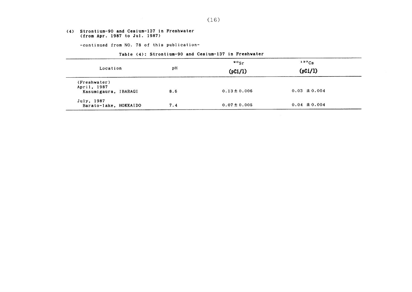#### (4) Strontium-90 &nd Ce8ium-137in Freshwater (from Apr. 1987 to Jul. 1987)

-COntinued from NO.78 0f this publication-

#### Table (4): Strontium-90 and Cesium-137 in Freshwater

|                                     |     | $\cdot$ $\cdot$ $\cdot$ $\cdot$ | $137C_S$         |  |
|-------------------------------------|-----|---------------------------------|------------------|--|
| Location                            | рH  | (pCi/l)                         | (pCi/l)          |  |
| (Freshwater)                        |     |                                 |                  |  |
| April, 1987<br>Kasumigaura, IBARAGI | 8.6 | $0.13 \pm 0.006$                | $0.03 \pm 0.004$ |  |
| July, 1987<br>Barato-lake, HOKKAIDO | 7.4 | $0.07 \pm 0.005$                | $0.04 \pm 0.004$ |  |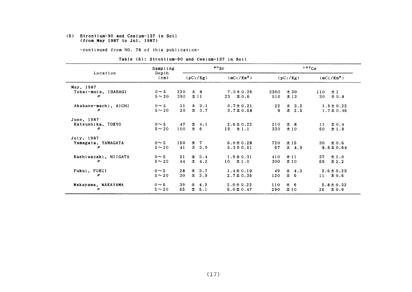#### (5) Strontium-90 and Cesium-137in Soil (from May 1987 to Jul. 1987)

-COntinued from NO.78 0f this publication-

|  |  |  |  |  | Table (5): Strontium-90 and Cesium-137 in Soil |  |  |  |  |
|--|--|--|--|--|------------------------------------------------|--|--|--|--|
|--|--|--|--|--|------------------------------------------------|--|--|--|--|

|                      | Sampling                   |     | $\mathbf{P} \circ \mathbf{S}$ r |           |                 |      | 137Cs     |                     |  |
|----------------------|----------------------------|-----|---------------------------------|-----------|-----------------|------|-----------|---------------------|--|
| Location             | Depth<br>(c <sub>m</sub> ) |     |                                 | (pCi/Kg)  | $(mCi/Km^2)$    |      | (pCi/Kg)  | $(mCi/Km^2)$        |  |
| May, 1987            |                            |     |                                 |           |                 |      |           |                     |  |
| Tokai-mura, IBARAGI  | $0 \sim 5$                 | 220 |                                 | $\pm$ 8   | $7.0 \pm 0.26$  | 3300 | ±30       | ±1<br>110           |  |
| $\prime\prime$       | $5 - 20$                   | 390 |                                 | ±11       | $23 \pm 0.6$    | 510  | ±13       | 30<br>± 0.8         |  |
| Akabane-machi, AICHI | $0 \sim 5$                 | 11  |                                 | $\pm$ 3.1 | $0.7 \pm 0.21$  | 22   | $\pm$ 3.2 | $1.5 \pm 0.22$      |  |
| $\prime\prime$       | $5 - 20$                   | 20  |                                 | $\pm$ 3.7 | $3.7 \pm 0.68$  | 9    | ± 2.5     | $1.7 \pm 0.46$      |  |
| June, 1987           |                            |     |                                 |           |                 |      |           |                     |  |
| Katsushika, TOKYO    | $0 \sim 5$                 | 47  |                                 | $\pm$ 4.1 | $2.6 \pm 0.22$  | 210  | ± 8       | $\pm 0.4$<br>11     |  |
| n                    | $5 \sim 20$                | 100 |                                 | ± 6       | $\pm 1.1$<br>19 | 330  | ±10       | $\pm$ 1.9<br>60     |  |
| July, 1987           |                            |     |                                 |           |                 |      |           |                     |  |
| Yamagata, YAMAGATA   | $0 \sim 5$                 | 150 |                                 | $±$ 7     | $6.0 \pm 0.28$  | 720  | ±15       | 30 $\pm 0.6$        |  |
| "                    | $5 \sim 20$                | 41  |                                 | $\pm$ 3.9 | $5.3 \pm 0.51$  | 67   | $\pm$ 4.9 | $8.6 \pm 0.64$      |  |
| Kashiwazaki, NIIGATA | $0 \sim 5$                 | 21  |                                 | $\pm$ 3.4 | $1.9 \pm 0.31$  | 410  | ±11       | $\pm 1.0$<br>37     |  |
| n                    | $5 - 20$                   | 44  |                                 | $\pm$ 4.2 | $10 \pm 1.0$    | 300  | ±10       | 69<br>$\pm 2.2$     |  |
| Fukui, FUKUI         | $0 \sim 5$                 | 28  |                                 | $\pm$ 3.7 | $1.4 \pm 0.19$  | 49   | $\pm$ 4.3 | $2.6 \pm 0.23$      |  |
| "                    | $5 \sim 20$                | 30  |                                 | ± 3.9     | $2.7 \pm 0.36$  | 120  | ± 6       | $\pm 0.6$<br>$11 -$ |  |
| Wakayama, WAKAYAMA   | $0 \sim 5$                 | 39  |                                 | $\pm$ 4.2 | $2.0 \pm 0.22$  | 110  | ± 6       | $5.8 \pm 0.32$      |  |
| 11                   | $5 \sim 20$                | 65  | $\pm$                           | 5.1       | $6.0 \pm 0.47$  | 290  | ±10       | ± 0.9<br>26         |  |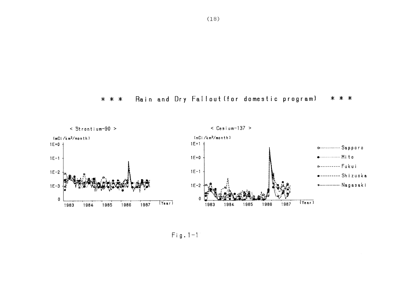



 $Fig. 1-1$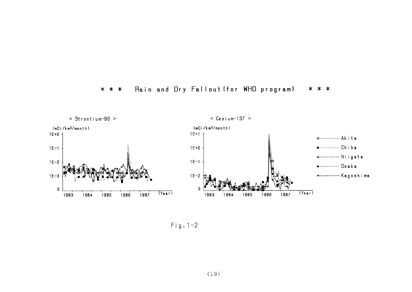#### Rain and Dry Fallout (for WHO program)  $* * *$ \* \* \*



 $Fig. 1-2$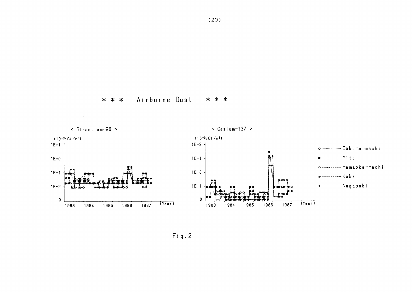

 $Fig. 2$ 

\* \* \* Airborne Dust \* \* \*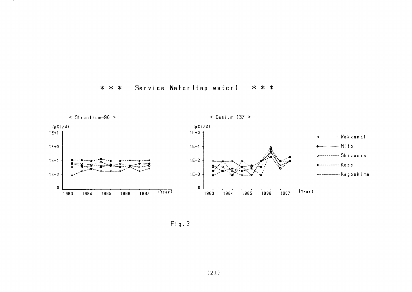#### Service Water (tap water) \* \* \* \* \* \*



 $Fig. 3$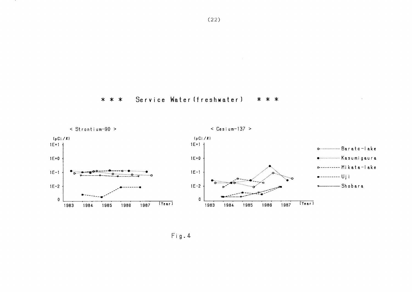



 $Fig. 4$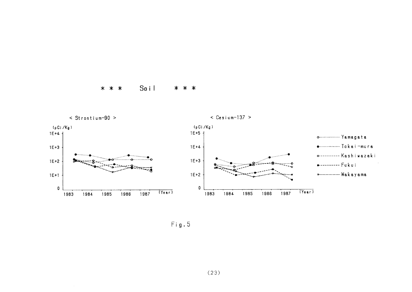#### $* * * S_0$ \* \* \*



 $Fig. 5$